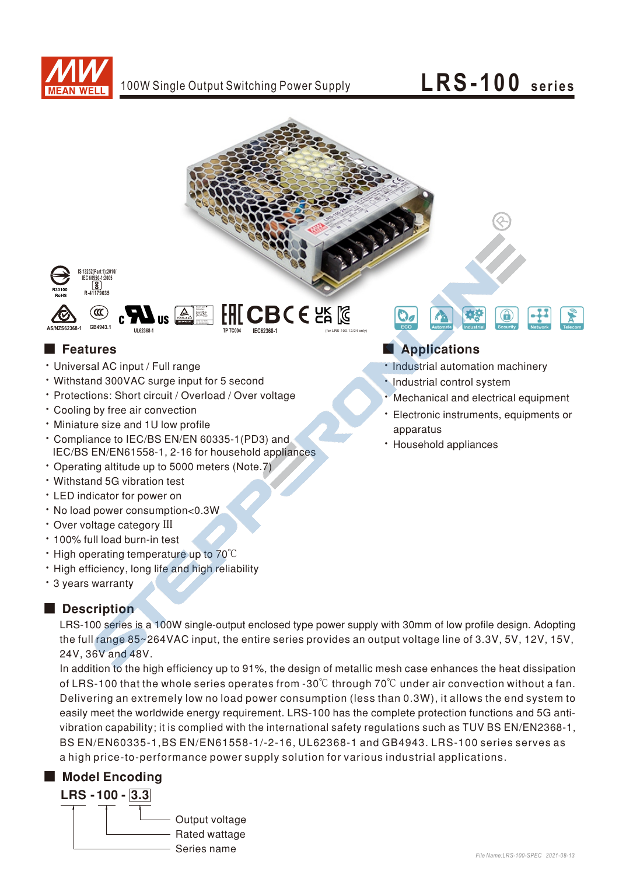

## LRS-100 series



- · Universal AC input / Full range
- Withstand 300VAC surge input for 5 second
- \* Protections: Short circuit / Overload / Over voltage
- Cooling by free air convection
- · Miniature size and 1U low profile
- \* Compliance to IEC/BS EN/EN 60335-1(PD3) and IEC/BS EN/EN61558-1, 2-16 for household appliances
- Operating altitude up to 5000 meters (Note.7)
- · Withstand 5G vibration test
- LED indicator for power on
- . No load power consumption<0.3W
- · Over voltage category III
- \* 100% full load burn-in test
- High operating temperature up to 70°C
- . High efficiency, long life and high reliability
- \* 3 years warranty

## Description

LRS-100 series is a 100W single-output enclosed type power supply with 30mm of low profile design. Adopting the full range 85~264VAC input, the entire series provides an output voltage line of 3.3V, 5V, 12V, 15V, 24V, 36V and 48V.

In addition to the high efficiency up to 91%, the design of metallic mesh case enhances the heat dissipation of LRS-100 that the whole series operates from -30 $\degree$ C through 70 $\degree$ C under air convection without a fan. Delivering an extremely low no load power consumption (less than 0.3W), it allows the end system to easily meet the worldwide energy requirement. LRS-100 has the complete protection functions and 5G antivibration capability; it is complied with the international safety regulations such as TUV BS EN/EN2368-1, BS EN/EN60335-1, BS EN/EN61558-1/-2-16, UL62368-1 and GB4943. LRS-100 series serves as a high price-to-performance power supply solution for various industrial applications.

## Model Encoding



- · Industrial automation machinery
- · Industrial control system
- Mechanical and electrical equipment
- · Electronic instruments, equipments or apparatus
- · Household appliances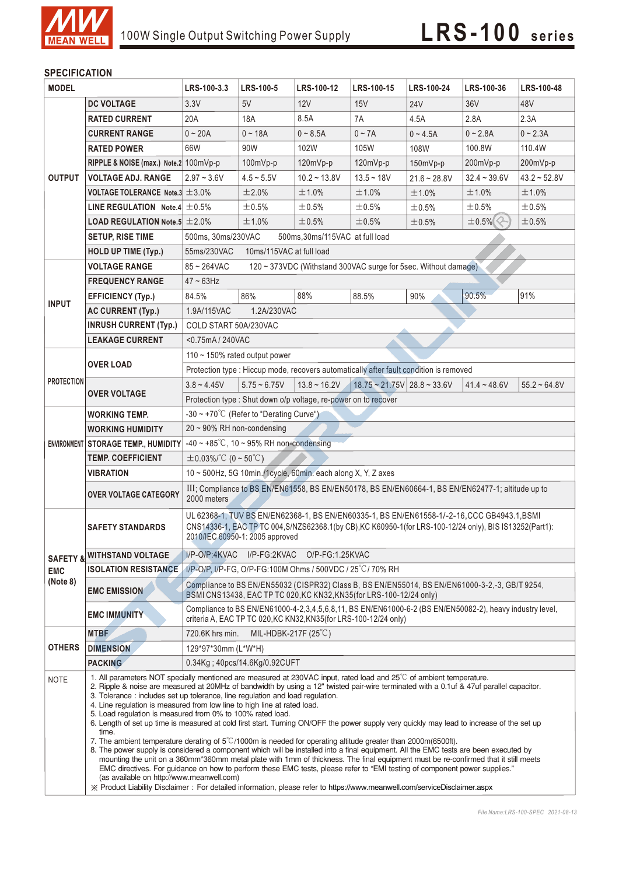

### **SPECIFICATION**

| <b>MODEL</b>           |                                                      | LRS-100-3.3                                                                                                                                                                                                                                                                                                                                                                                                                                                                                                                                                                                                                                                                                                                                                                                                                                                                                                                                                                                                                                                                                                                                                                            | LRS-100-5      | LRS-100-12     | LRS-100-15                    | LRS-100-24     | LRS-100-36      | LRS-100-48     |  |
|------------------------|------------------------------------------------------|----------------------------------------------------------------------------------------------------------------------------------------------------------------------------------------------------------------------------------------------------------------------------------------------------------------------------------------------------------------------------------------------------------------------------------------------------------------------------------------------------------------------------------------------------------------------------------------------------------------------------------------------------------------------------------------------------------------------------------------------------------------------------------------------------------------------------------------------------------------------------------------------------------------------------------------------------------------------------------------------------------------------------------------------------------------------------------------------------------------------------------------------------------------------------------------|----------------|----------------|-------------------------------|----------------|-----------------|----------------|--|
|                        | <b>DC VOLTAGE</b>                                    | 3.3V                                                                                                                                                                                                                                                                                                                                                                                                                                                                                                                                                                                                                                                                                                                                                                                                                                                                                                                                                                                                                                                                                                                                                                                   | 5V             | 12V            | 15V                           | <b>24V</b>     | 36 <sub>V</sub> | 48V            |  |
| <b>OUTPUT</b>          | <b>RATED CURRENT</b>                                 | 20A                                                                                                                                                                                                                                                                                                                                                                                                                                                                                                                                                                                                                                                                                                                                                                                                                                                                                                                                                                                                                                                                                                                                                                                    | 18A            | 8.5A           | 7A                            | 4.5A           | 2.8A            | 2.3A           |  |
|                        | <b>CURRENT RANGE</b>                                 | $0 - 20A$                                                                                                                                                                                                                                                                                                                                                                                                                                                                                                                                                                                                                                                                                                                                                                                                                                                                                                                                                                                                                                                                                                                                                                              | $0 - 18A$      | $0 - 8.5A$     | $0 - 7A$                      | $0 - 4.5A$     | $0 - 2.8A$      | $0 - 2.3A$     |  |
|                        | <b>RATED POWER</b>                                   | 66W                                                                                                                                                                                                                                                                                                                                                                                                                                                                                                                                                                                                                                                                                                                                                                                                                                                                                                                                                                                                                                                                                                                                                                                    | 90W            | 102W           | 105W                          | 108W           | 100.8W          | 110.4W         |  |
|                        | RIPPLE & NOISE (max.) Note.2 100mVp-p                |                                                                                                                                                                                                                                                                                                                                                                                                                                                                                                                                                                                                                                                                                                                                                                                                                                                                                                                                                                                                                                                                                                                                                                                        | 100mVp-p       | 120mVp-p       | 120mVp-p                      | 150mVp-p       | 200mVp-p        | 200mVp-p       |  |
|                        | <b>VOLTAGE ADJ. RANGE</b>                            | $2.97 - 3.6V$                                                                                                                                                                                                                                                                                                                                                                                                                                                                                                                                                                                                                                                                                                                                                                                                                                                                                                                                                                                                                                                                                                                                                                          | $4.5 - 5.5V$   | $10.2 - 13.8V$ | $13.5 - 18V$                  | $21.6 - 28.8V$ | $32.4 - 39.6V$  | $43.2 - 52.8V$ |  |
|                        | VOLTAGE TOLERANCE Note.3 $\pm$ 3.0%                  |                                                                                                                                                                                                                                                                                                                                                                                                                                                                                                                                                                                                                                                                                                                                                                                                                                                                                                                                                                                                                                                                                                                                                                                        | ±2.0%          | ±1.0%          | ±1.0%                         | ±1.0%          | ±1.0%           | ±1.0%          |  |
|                        | LINE REGULATION Note.4 $\pm$ 0.5%                    |                                                                                                                                                                                                                                                                                                                                                                                                                                                                                                                                                                                                                                                                                                                                                                                                                                                                                                                                                                                                                                                                                                                                                                                        | ±0.5%          | ±0.5%          | $\pm 0.5\%$                   | ±0.5%          | ±0.5%           | ±0.5%          |  |
|                        | <b>LOAD REGULATION Note.5 <math>\pm 2.0\%</math></b> |                                                                                                                                                                                                                                                                                                                                                                                                                                                                                                                                                                                                                                                                                                                                                                                                                                                                                                                                                                                                                                                                                                                                                                                        | ±1.0%          | ±0.5%          | $\pm 0.5\%$                   | ±0.5%          | $\pm 0.5\%$     | ±0.5%          |  |
|                        | <b>SETUP, RISE TIME</b>                              | 500ms, 30ms/230VAC<br>500ms, 30ms/115VAC at full load                                                                                                                                                                                                                                                                                                                                                                                                                                                                                                                                                                                                                                                                                                                                                                                                                                                                                                                                                                                                                                                                                                                                  |                |                |                               |                |                 |                |  |
|                        | <b>HOLD UP TIME (Typ.)</b>                           | 55ms/230VAC<br>10ms/115VAC at full load                                                                                                                                                                                                                                                                                                                                                                                                                                                                                                                                                                                                                                                                                                                                                                                                                                                                                                                                                                                                                                                                                                                                                |                |                |                               |                |                 |                |  |
| <b>INPUT</b>           | <b>VOLTAGE RANGE</b>                                 | $85 - 264$ VAC<br>120 ~ 373VDC (Withstand 300VAC surge for 5sec. Without damage)                                                                                                                                                                                                                                                                                                                                                                                                                                                                                                                                                                                                                                                                                                                                                                                                                                                                                                                                                                                                                                                                                                       |                |                |                               |                |                 |                |  |
|                        | <b>FREQUENCY RANGE</b>                               | $47 \sim 63$ Hz                                                                                                                                                                                                                                                                                                                                                                                                                                                                                                                                                                                                                                                                                                                                                                                                                                                                                                                                                                                                                                                                                                                                                                        |                |                |                               |                |                 |                |  |
|                        | <b>EFFICIENCY (Typ.)</b>                             | 84.5%                                                                                                                                                                                                                                                                                                                                                                                                                                                                                                                                                                                                                                                                                                                                                                                                                                                                                                                                                                                                                                                                                                                                                                                  | 86%            | 88%            | 88.5%                         | 90%            | 90.5%           | 91%            |  |
|                        | AC CURRENT (Typ.)                                    | 1.9A/115VAC                                                                                                                                                                                                                                                                                                                                                                                                                                                                                                                                                                                                                                                                                                                                                                                                                                                                                                                                                                                                                                                                                                                                                                            | 1.2A/230VAC    |                |                               |                |                 |                |  |
|                        | <b>INRUSH CURRENT (Typ.)</b>                         | COLD START 50A/230VAC                                                                                                                                                                                                                                                                                                                                                                                                                                                                                                                                                                                                                                                                                                                                                                                                                                                                                                                                                                                                                                                                                                                                                                  |                |                |                               |                |                 |                |  |
|                        | <b>LEAKAGE CURRENT</b>                               | <0.75mA / 240VAC                                                                                                                                                                                                                                                                                                                                                                                                                                                                                                                                                                                                                                                                                                                                                                                                                                                                                                                                                                                                                                                                                                                                                                       |                |                |                               |                |                 |                |  |
|                        | <b>OVER LOAD</b>                                     | 110 ~ 150% rated output power                                                                                                                                                                                                                                                                                                                                                                                                                                                                                                                                                                                                                                                                                                                                                                                                                                                                                                                                                                                                                                                                                                                                                          |                |                |                               |                |                 |                |  |
| <b>PROTECTION</b>      |                                                      | Protection type : Hiccup mode, recovers automatically after fault condition is removed                                                                                                                                                                                                                                                                                                                                                                                                                                                                                                                                                                                                                                                                                                                                                                                                                                                                                                                                                                                                                                                                                                 |                |                |                               |                |                 |                |  |
|                        | <b>OVER VOLTAGE</b>                                  | $3.8 - 4.45V$                                                                                                                                                                                                                                                                                                                                                                                                                                                                                                                                                                                                                                                                                                                                                                                                                                                                                                                                                                                                                                                                                                                                                                          | $5.75 - 6.75V$ | $13.8 - 16.2V$ | $18.75 - 21.75V$ 28.8 ~ 33.6V |                | $41.4 - 48.6V$  | $55.2 - 64.8V$ |  |
|                        |                                                      | Protection type: Shut down o/p voltage, re-power on to recover                                                                                                                                                                                                                                                                                                                                                                                                                                                                                                                                                                                                                                                                                                                                                                                                                                                                                                                                                                                                                                                                                                                         |                |                |                               |                |                 |                |  |
|                        | <b>WORKING TEMP.</b>                                 | $-30 \sim +70^{\circ}$ (Refer to "Derating Curve")                                                                                                                                                                                                                                                                                                                                                                                                                                                                                                                                                                                                                                                                                                                                                                                                                                                                                                                                                                                                                                                                                                                                     |                |                |                               |                |                 |                |  |
|                        | <b>WORKING HUMIDITY</b>                              | $20 \sim 90\%$ RH non-condensing                                                                                                                                                                                                                                                                                                                                                                                                                                                                                                                                                                                                                                                                                                                                                                                                                                                                                                                                                                                                                                                                                                                                                       |                |                |                               |                |                 |                |  |
|                        | ENVIRONMENT STORAGE TEMP., HUMIDITY                  | -40 ~ +85 $\degree$ C, 10 ~ 95% RH non-condensing                                                                                                                                                                                                                                                                                                                                                                                                                                                                                                                                                                                                                                                                                                                                                                                                                                                                                                                                                                                                                                                                                                                                      |                |                |                               |                |                 |                |  |
|                        | <b>TEMP, COEFFICIENT</b>                             | $\pm$ 0.03%/°C (0 ~ 50°C)                                                                                                                                                                                                                                                                                                                                                                                                                                                                                                                                                                                                                                                                                                                                                                                                                                                                                                                                                                                                                                                                                                                                                              |                |                |                               |                |                 |                |  |
|                        | <b>VIBRATION</b>                                     | 10 ~ 500Hz, 5G 10min./1cycle, 60min. each along X, Y, Z axes                                                                                                                                                                                                                                                                                                                                                                                                                                                                                                                                                                                                                                                                                                                                                                                                                                                                                                                                                                                                                                                                                                                           |                |                |                               |                |                 |                |  |
|                        |                                                      | III; Compliance to BS EN/EN61558, BS EN/EN50178, BS EN/EN60664-1, BS EN/EN62477-1; altitude up to<br>2000 meters                                                                                                                                                                                                                                                                                                                                                                                                                                                                                                                                                                                                                                                                                                                                                                                                                                                                                                                                                                                                                                                                       |                |                |                               |                |                 |                |  |
|                        | <b>OVER VOLTAGE CATEGORY</b>                         |                                                                                                                                                                                                                                                                                                                                                                                                                                                                                                                                                                                                                                                                                                                                                                                                                                                                                                                                                                                                                                                                                                                                                                                        |                |                |                               |                |                 |                |  |
| <b>EMC</b><br>(Note 8) | <b>SAFETY STANDARDS</b>                              | UL 62368-1, TUV BS EN/EN62368-1, BS EN/EN60335-1, BS EN/EN61558-1/-2-16, CCC GB4943.1, BSMI<br>CNS14336-1, EAC TP TC 004, S/NZS62368.1(by CB), KC K60950-1(for LRS-100-12/24 only), BIS IS13252(Part1):                                                                                                                                                                                                                                                                                                                                                                                                                                                                                                                                                                                                                                                                                                                                                                                                                                                                                                                                                                                |                |                |                               |                |                 |                |  |
|                        |                                                      | 2010/IEC 60950-1: 2005 approved                                                                                                                                                                                                                                                                                                                                                                                                                                                                                                                                                                                                                                                                                                                                                                                                                                                                                                                                                                                                                                                                                                                                                        |                |                |                               |                |                 |                |  |
|                        | <b>SAFETY &amp; WITHSTAND VOLTAGE</b>                | I/P-O/P:4KVAC I/P-FG:2KVAC O/P-FG:1.25KVAC                                                                                                                                                                                                                                                                                                                                                                                                                                                                                                                                                                                                                                                                                                                                                                                                                                                                                                                                                                                                                                                                                                                                             |                |                |                               |                |                 |                |  |
|                        | <b>ISOLATION RESISTANCE</b>                          | 1/P-O/P, I/P-FG, O/P-FG:100M Ohms / 500VDC / 25°C/ 70% RH                                                                                                                                                                                                                                                                                                                                                                                                                                                                                                                                                                                                                                                                                                                                                                                                                                                                                                                                                                                                                                                                                                                              |                |                |                               |                |                 |                |  |
|                        | <b>EMC EMISSION</b>                                  | Compliance to BS EN/EN55032 (CISPR32) Class B, BS EN/EN55014, BS EN/EN61000-3-2,-3, GB/T 9254,<br>BSMI CNS13438, EAC TP TC 020, KC KN32, KN35 (for LRS-100-12/24 only)                                                                                                                                                                                                                                                                                                                                                                                                                                                                                                                                                                                                                                                                                                                                                                                                                                                                                                                                                                                                                 |                |                |                               |                |                 |                |  |
|                        | <b>EMC IMMUNITY</b>                                  | Compliance to BS EN/EN61000-4-2,3,4,5,6,8,11, BS EN/EN61000-6-2 (BS EN/EN50082-2), heavy industry level,<br>criteria A, EAC TP TC 020, KC KN32, KN35(for LRS-100-12/24 only)                                                                                                                                                                                                                                                                                                                                                                                                                                                                                                                                                                                                                                                                                                                                                                                                                                                                                                                                                                                                           |                |                |                               |                |                 |                |  |
| <b>OTHERS</b>          | <b>MTBF</b>                                          | MIL-HDBK-217F (25°C)<br>720.6K hrs min.                                                                                                                                                                                                                                                                                                                                                                                                                                                                                                                                                                                                                                                                                                                                                                                                                                                                                                                                                                                                                                                                                                                                                |                |                |                               |                |                 |                |  |
|                        | <b>DIMENSION</b>                                     | 129*97*30mm (L*W*H)                                                                                                                                                                                                                                                                                                                                                                                                                                                                                                                                                                                                                                                                                                                                                                                                                                                                                                                                                                                                                                                                                                                                                                    |                |                |                               |                |                 |                |  |
|                        | <b>PACKING</b>                                       | 0.34Kg; 40pcs/14.6Kg/0.92CUFT                                                                                                                                                                                                                                                                                                                                                                                                                                                                                                                                                                                                                                                                                                                                                                                                                                                                                                                                                                                                                                                                                                                                                          |                |                |                               |                |                 |                |  |
| <b>NOTE</b>            | time.                                                | 1. All parameters NOT specially mentioned are measured at 230VAC input, rated load and $25^{\circ}$ of ambient temperature.<br>2. Ripple & noise are measured at 20MHz of bandwidth by using a 12" twisted pair-wire terminated with a 0.1uf & 47uf parallel capacitor.<br>3. Tolerance: includes set up tolerance, line regulation and load regulation.<br>4. Line regulation is measured from low line to high line at rated load.<br>5. Load regulation is measured from 0% to 100% rated load.<br>6. Length of set up time is measured at cold first start. Turning ON/OFF the power supply very quickly may lead to increase of the set up<br>7. The ambient temperature derating of $5^{\circ}$ C/1000m is needed for operating altitude greater than 2000m(6500ft).<br>8. The power supply is considered a component which will be installed into a final equipment. All the EMC tests are been executed by<br>mounting the unit on a 360mm*360mm metal plate with 1mm of thickness. The final equipment must be re-confirmed that it still meets<br>EMC directives. For guidance on how to perform these EMC tests, please refer to "EMI testing of component power supplies." |                |                |                               |                |                 |                |  |
|                        |                                                      | (as available on http://www.meanwell.com)<br>※ Product Liability Disclaimer: For detailed information, please refer to https://www.meanwell.com/serviceDisclaimer.aspx                                                                                                                                                                                                                                                                                                                                                                                                                                                                                                                                                                                                                                                                                                                                                                                                                                                                                                                                                                                                                 |                |                |                               |                |                 |                |  |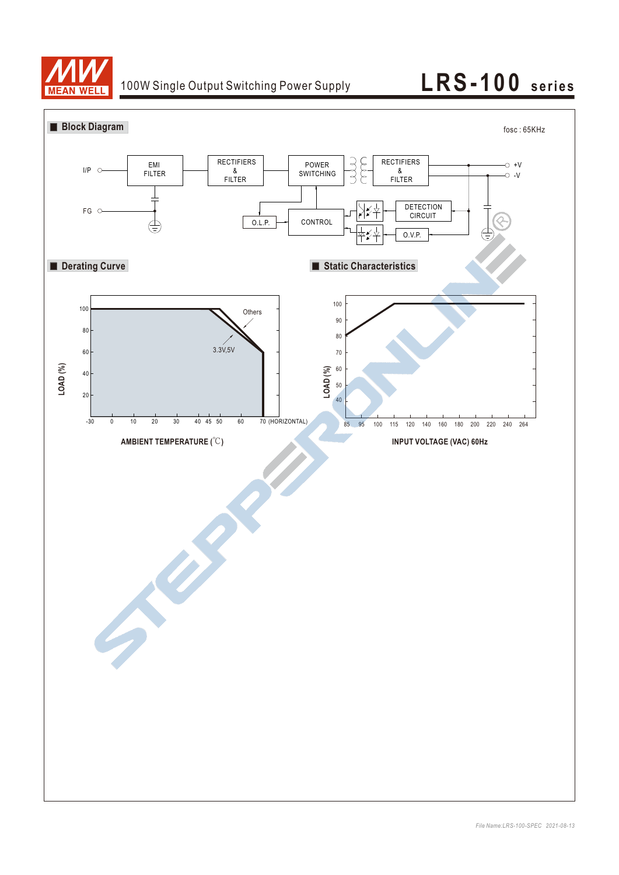

# 100W Single Output Switching Power Supply **LRS-100** series